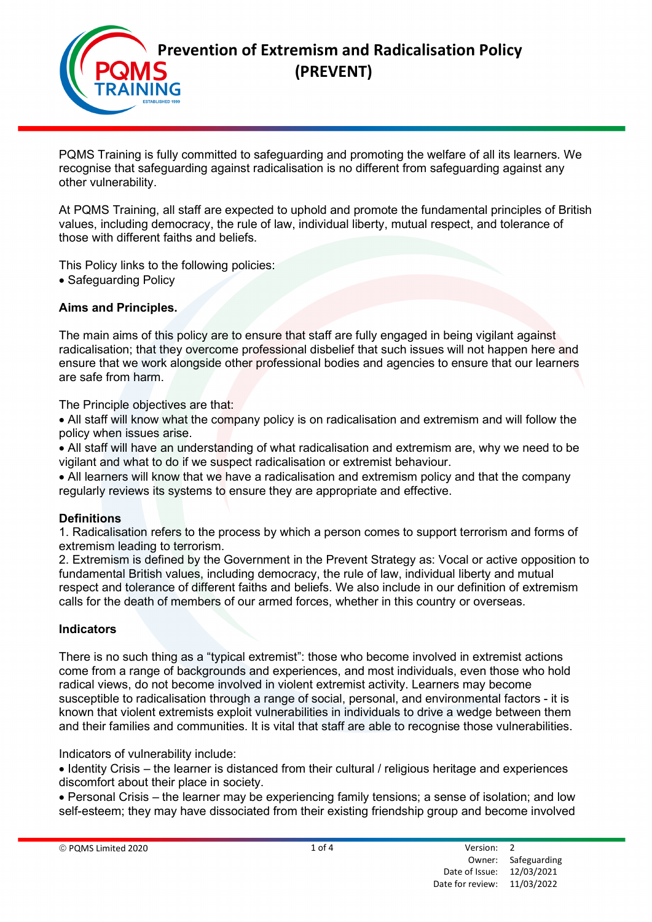

PQMS Training is fully committed to safeguarding and promoting the welfare of all its learners. We recognise that safeguarding against radicalisation is no different from safeguarding against any other vulnerability.

At PQMS Training, all staff are expected to uphold and promote the fundamental principles of British values, including democracy, the rule of law, individual liberty, mutual respect, and tolerance of those with different faiths and beliefs.

This Policy links to the following policies:

• Safeguarding Policy

### Aims and Principles.

The main aims of this policy are to ensure that staff are fully engaged in being vigilant against radicalisation; that they overcome professional disbelief that such issues will not happen here and ensure that we work alongside other professional bodies and agencies to ensure that our learners are safe from harm.

The Principle objectives are that:

 All staff will know what the company policy is on radicalisation and extremism and will follow the policy when issues arise.

 All staff will have an understanding of what radicalisation and extremism are, why we need to be vigilant and what to do if we suspect radicalisation or extremist behaviour.

 All learners will know that we have a radicalisation and extremism policy and that the company regularly reviews its systems to ensure they are appropriate and effective.

#### **Definitions**

1. Radicalisation refers to the process by which a person comes to support terrorism and forms of extremism leading to terrorism.

2. Extremism is defined by the Government in the Prevent Strategy as: Vocal or active opposition to fundamental British values, including democracy, the rule of law, individual liberty and mutual respect and tolerance of different faiths and beliefs. We also include in our definition of extremism calls for the death of members of our armed forces, whether in this country or overseas.

#### Indicators

There is no such thing as a "typical extremist": those who become involved in extremist actions come from a range of backgrounds and experiences, and most individuals, even those who hold radical views, do not become involved in violent extremist activity. Learners may become susceptible to radicalisation through a range of social, personal, and environmental factors - it is known that violent extremists exploit vulnerabilities in individuals to drive a wedge between them and their families and communities. It is vital that staff are able to recognise those vulnerabilities.

Indicators of vulnerability include:

• Identity Crisis – the learner is distanced from their cultural / religious heritage and experiences discomfort about their place in society.

 Personal Crisis – the learner may be experiencing family tensions; a sense of isolation; and low self-esteem; they may have dissociated from their existing friendship group and become involved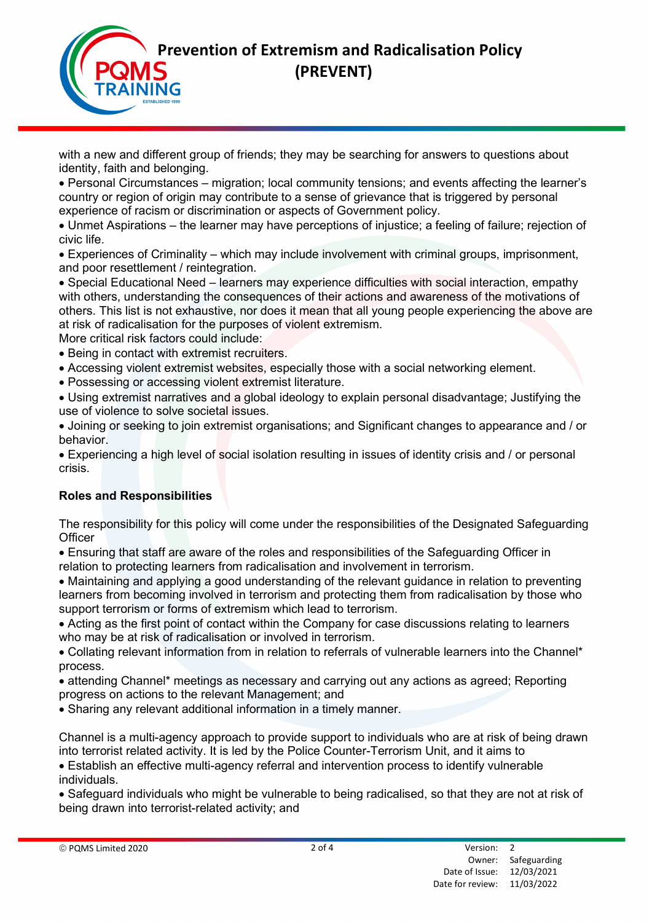

with a new and different group of friends; they may be searching for answers to questions about identity, faith and belonging.

 Personal Circumstances – migration; local community tensions; and events affecting the learner's country or region of origin may contribute to a sense of grievance that is triggered by personal experience of racism or discrimination or aspects of Government policy.

 Unmet Aspirations – the learner may have perceptions of injustice; a feeling of failure; rejection of civic life.

 Experiences of Criminality – which may include involvement with criminal groups, imprisonment, and poor resettlement / reintegration.

 Special Educational Need – learners may experience difficulties with social interaction, empathy with others, understanding the consequences of their actions and awareness of the motivations of others. This list is not exhaustive, nor does it mean that all young people experiencing the above are at risk of radicalisation for the purposes of violent extremism.

More critical risk factors could include:

- Being in contact with extremist recruiters.
- Accessing violent extremist websites, especially those with a social networking element.
- Possessing or accessing violent extremist literature.

 Using extremist narratives and a global ideology to explain personal disadvantage; Justifying the use of violence to solve societal issues.

 Joining or seeking to join extremist organisations; and Significant changes to appearance and / or behavior.

 Experiencing a high level of social isolation resulting in issues of identity crisis and / or personal crisis.

## Roles and Responsibilities

The responsibility for this policy will come under the responsibilities of the Designated Safeguarding **Officer** 

 Ensuring that staff are aware of the roles and responsibilities of the Safeguarding Officer in relation to protecting learners from radicalisation and involvement in terrorism.

 Maintaining and applying a good understanding of the relevant guidance in relation to preventing learners from becoming involved in terrorism and protecting them from radicalisation by those who support terrorism or forms of extremism which lead to terrorism.

 Acting as the first point of contact within the Company for case discussions relating to learners who may be at risk of radicalisation or involved in terrorism.

 Collating relevant information from in relation to referrals of vulnerable learners into the Channel\* process.

 attending Channel\* meetings as necessary and carrying out any actions as agreed; Reporting progress on actions to the relevant Management; and

Sharing any relevant additional information in a timely manner.

Channel is a multi-agency approach to provide support to individuals who are at risk of being drawn into terrorist related activity. It is led by the Police Counter-Terrorism Unit, and it aims to

 Establish an effective multi-agency referral and intervention process to identify vulnerable individuals.

 Safeguard individuals who might be vulnerable to being radicalised, so that they are not at risk of being drawn into terrorist-related activity; and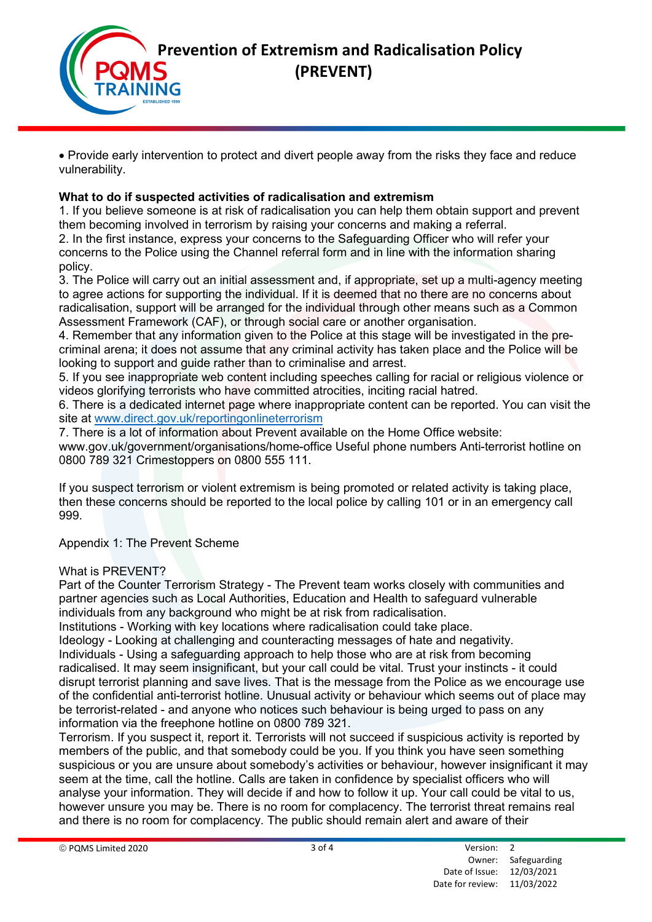

 Provide early intervention to protect and divert people away from the risks they face and reduce vulnerability.

# What to do if suspected activities of radicalisation and extremism

1. If you believe someone is at risk of radicalisation you can help them obtain support and prevent them becoming involved in terrorism by raising your concerns and making a referral.

2. In the first instance, express your concerns to the Safeguarding Officer who will refer your concerns to the Police using the Channel referral form and in line with the information sharing policy.

3. The Police will carry out an initial assessment and, if appropriate, set up a multi-agency meeting to agree actions for supporting the individual. If it is deemed that no there are no concerns about radicalisation, support will be arranged for the individual through other means such as a Common Assessment Framework (CAF), or through social care or another organisation.

4. Remember that any information given to the Police at this stage will be investigated in the precriminal arena; it does not assume that any criminal activity has taken place and the Police will be looking to support and guide rather than to criminalise and arrest.

5. If you see inappropriate web content including speeches calling for racial or religious violence or videos glorifying terrorists who have committed atrocities, inciting racial hatred.

6. There is a dedicated internet page where inappropriate content can be reported. You can visit the site at www.direct.gov.uk/reportingonlineterrorism

7. There is a lot of information about Prevent available on the Home Office website: www.gov.uk/government/organisations/home-office Useful phone numbers Anti-terrorist hotline on 0800 789 321 Crimestoppers on 0800 555 111.

If you suspect terrorism or violent extremism is being promoted or related activity is taking place, then these concerns should be reported to the local police by calling 101 or in an emergency call 999.

Appendix 1: The Prevent Scheme

## What is PREVENT?

Part of the Counter Terrorism Strategy - The Prevent team works closely with communities and partner agencies such as Local Authorities, Education and Health to safeguard vulnerable individuals from any background who might be at risk from radicalisation.

Institutions - Working with key locations where radicalisation could take place.

Ideology - Looking at challenging and counteracting messages of hate and negativity. Individuals - Using a safeguarding approach to help those who are at risk from becoming radicalised. It may seem insignificant, but your call could be vital. Trust your instincts - it could disrupt terrorist planning and save lives. That is the message from the Police as we encourage use of the confidential anti-terrorist hotline. Unusual activity or behaviour which seems out of place may be terrorist-related - and anyone who notices such behaviour is being urged to pass on any information via the freephone hotline on 0800 789 321.

Terrorism. If you suspect it, report it. Terrorists will not succeed if suspicious activity is reported by members of the public, and that somebody could be you. If you think you have seen something suspicious or you are unsure about somebody's activities or behaviour, however insignificant it may seem at the time, call the hotline. Calls are taken in confidence by specialist officers who will analyse your information. They will decide if and how to follow it up. Your call could be vital to us, however unsure you may be. There is no room for complacency. The terrorist threat remains real and there is no room for complacency. The public should remain alert and aware of their